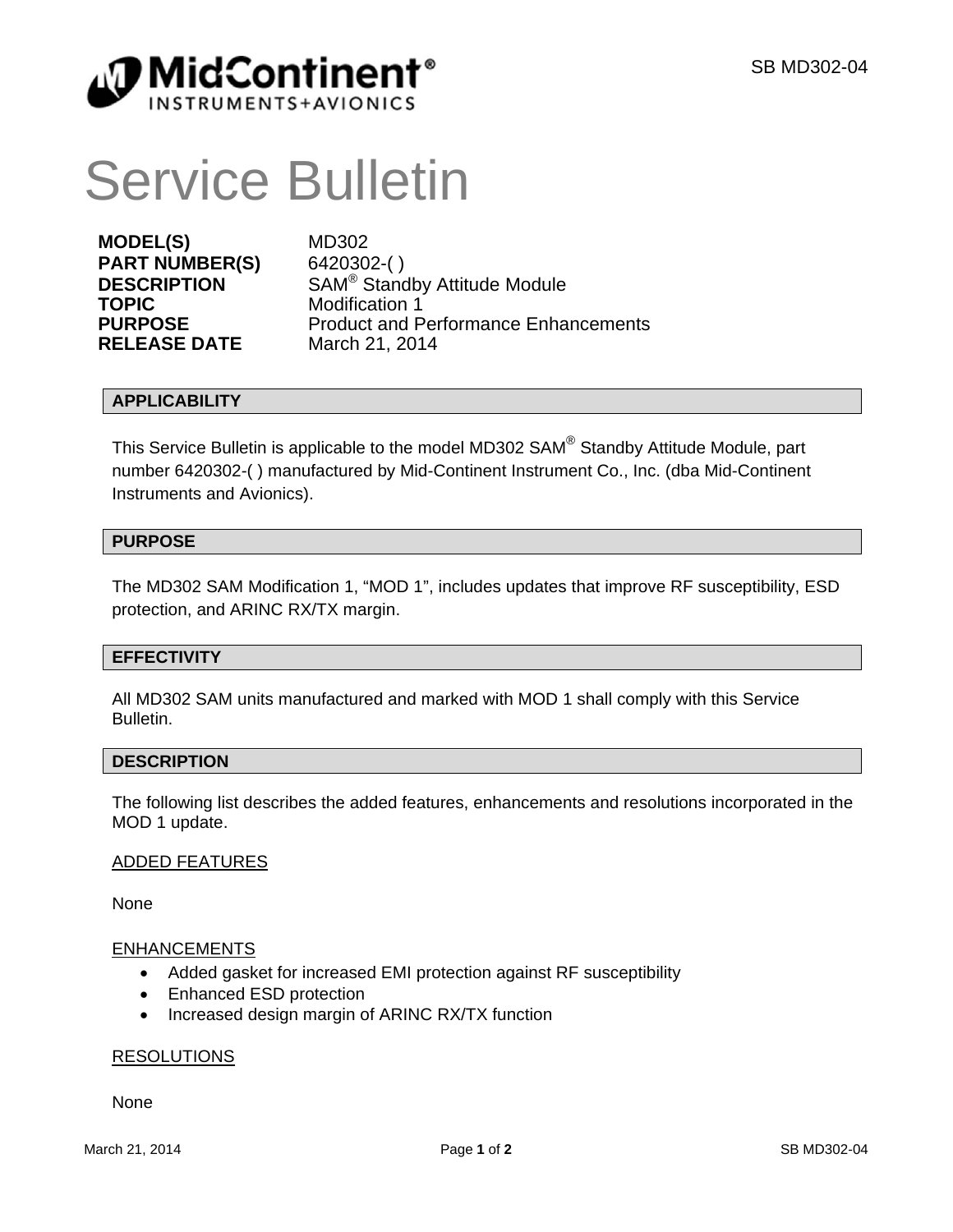

# Service Bulletin

**MODEL(S)** MD302 **PART NUMBER(S)** 6420302-( ) **TOPIC** Modification 1 **RELEASE DATE** 

**DESCRIPTION** SAM<sup>®</sup> Standby Attitude Module **PURPOSE** Product and Performance Enhancements<br> **RELEASE DATE** March 21, 2014

# **APPLICABILITY**

This Service Bulletin is applicable to the model MD302 SAM® Standby Attitude Module, part number 6420302-( ) manufactured by Mid-Continent Instrument Co., Inc. (dba Mid-Continent Instruments and Avionics).

# **PURPOSE**

The MD302 SAM Modification 1, "MOD 1", includes updates that improve RF susceptibility, ESD protection, and ARINC RX/TX margin.

# **EFFECTIVITY**

All MD302 SAM units manufactured and marked with MOD 1 shall comply with this Service Bulletin.

# **DESCRIPTION**

The following list describes the added features, enhancements and resolutions incorporated in the MOD 1 update.

# ADDED FEATURES

None

# **ENHANCEMENTS**

- Added gasket for increased EMI protection against RF susceptibility
- Enhanced ESD protection
- Increased design margin of ARINC RX/TX function

# RESOLUTIONS

None